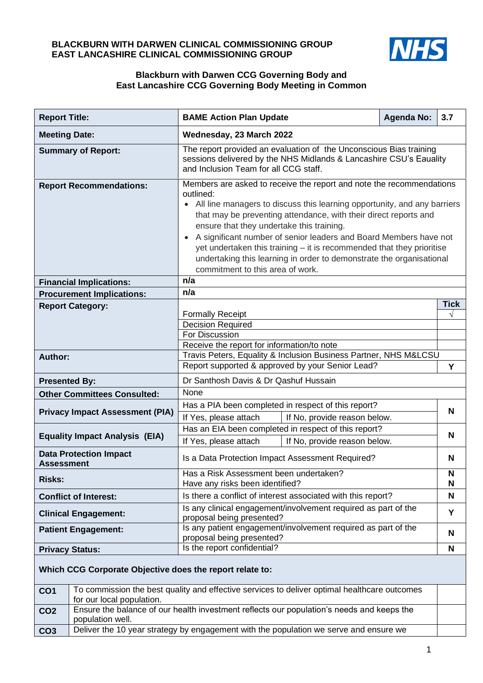#### **BLACKBURN WITH DARWEN CLINICAL COMMISSIONING GROUP EAST LANCASHIRE CLINICAL COMMISSIONING GROUP**



#### **Blackburn with Darwen CCG Governing Body and East Lancashire CCG Governing Body Meeting in Common**

| <b>Report Title:</b>                                     |                                        | <b>BAME Action Plan Update</b>                                                                                                                                                                                                                                                                                                                                                                                                                                                                                                               |                                                      | <b>Agenda No:</b> | 3.7         |
|----------------------------------------------------------|----------------------------------------|----------------------------------------------------------------------------------------------------------------------------------------------------------------------------------------------------------------------------------------------------------------------------------------------------------------------------------------------------------------------------------------------------------------------------------------------------------------------------------------------------------------------------------------------|------------------------------------------------------|-------------------|-------------|
| <b>Meeting Date:</b>                                     |                                        | Wednesday, 23 March 2022                                                                                                                                                                                                                                                                                                                                                                                                                                                                                                                     |                                                      |                   |             |
|                                                          | <b>Summary of Report:</b>              | The report provided an evaluation of the Unconscious Bias training<br>sessions delivered by the NHS Midlands & Lancashire CSU's Eauality<br>and Inclusion Team for all CCG staff.                                                                                                                                                                                                                                                                                                                                                            |                                                      |                   |             |
| <b>Report Recommendations:</b>                           |                                        | Members are asked to receive the report and note the recommendations<br>outlined:<br>• All line managers to discuss this learning opportunity, and any barriers<br>that may be preventing attendance, with their direct reports and<br>ensure that they undertake this training.<br>• A significant number of senior leaders and Board Members have not<br>yet undertaken this training - it is recommended that they prioritise<br>undertaking this learning in order to demonstrate the organisational<br>commitment to this area of work. |                                                      |                   |             |
|                                                          | <b>Financial Implications:</b>         | n/a                                                                                                                                                                                                                                                                                                                                                                                                                                                                                                                                          |                                                      |                   |             |
|                                                          | <b>Procurement Implications:</b>       | n/a                                                                                                                                                                                                                                                                                                                                                                                                                                                                                                                                          |                                                      |                   |             |
|                                                          | <b>Report Category:</b>                |                                                                                                                                                                                                                                                                                                                                                                                                                                                                                                                                              |                                                      |                   | <b>Tick</b> |
|                                                          |                                        | <b>Formally Receipt</b>                                                                                                                                                                                                                                                                                                                                                                                                                                                                                                                      |                                                      |                   | $\sqrt{}$   |
|                                                          |                                        | <b>Decision Required</b>                                                                                                                                                                                                                                                                                                                                                                                                                                                                                                                     |                                                      |                   |             |
|                                                          |                                        | For Discussion                                                                                                                                                                                                                                                                                                                                                                                                                                                                                                                               |                                                      |                   |             |
|                                                          |                                        | Receive the report for information/to note<br>Travis Peters, Equality & Inclusion Business Partner, NHS M&LCSU                                                                                                                                                                                                                                                                                                                                                                                                                               |                                                      |                   |             |
| <b>Author:</b>                                           |                                        | Report supported & approved by your Senior Lead?                                                                                                                                                                                                                                                                                                                                                                                                                                                                                             |                                                      |                   | Y           |
| <b>Presented By:</b>                                     |                                        | Dr Santhosh Davis & Dr Qashuf Hussain                                                                                                                                                                                                                                                                                                                                                                                                                                                                                                        |                                                      |                   |             |
| <b>Other Committees Consulted:</b>                       |                                        | None                                                                                                                                                                                                                                                                                                                                                                                                                                                                                                                                         |                                                      |                   |             |
|                                                          |                                        | Has a PIA been completed in respect of this report?                                                                                                                                                                                                                                                                                                                                                                                                                                                                                          |                                                      |                   | N           |
|                                                          | <b>Privacy Impact Assessment (PIA)</b> | If Yes, please attach                                                                                                                                                                                                                                                                                                                                                                                                                                                                                                                        | If No, provide reason below.                         |                   |             |
|                                                          |                                        |                                                                                                                                                                                                                                                                                                                                                                                                                                                                                                                                              | Has an EIA been completed in respect of this report? |                   |             |
|                                                          | <b>Equality Impact Analysis (EIA)</b>  | If Yes, please attach                                                                                                                                                                                                                                                                                                                                                                                                                                                                                                                        | If No, provide reason below.                         |                   | N           |
| <b>Data Protection Impact</b><br><b>Assessment</b>       |                                        | Is a Data Protection Impact Assessment Required?                                                                                                                                                                                                                                                                                                                                                                                                                                                                                             |                                                      |                   | N           |
|                                                          |                                        | Has a Risk Assessment been undertaken?                                                                                                                                                                                                                                                                                                                                                                                                                                                                                                       |                                                      |                   | N           |
| <b>Risks:</b>                                            |                                        | Have any risks been identified?                                                                                                                                                                                                                                                                                                                                                                                                                                                                                                              |                                                      |                   | N           |
|                                                          | <b>Conflict of Interest:</b>           | Is there a conflict of interest associated with this report?                                                                                                                                                                                                                                                                                                                                                                                                                                                                                 |                                                      |                   | N           |
| <b>Clinical Engagement:</b>                              |                                        | Is any clinical engagement/involvement required as part of the<br>proposal being presented?                                                                                                                                                                                                                                                                                                                                                                                                                                                  |                                                      |                   | Y           |
| <b>Patient Engagement:</b>                               |                                        | Is any patient engagement/involvement required as part of the<br>proposal being presented?                                                                                                                                                                                                                                                                                                                                                                                                                                                   |                                                      |                   | N           |
| <b>Privacy Status:</b>                                   |                                        | Is the report confidential?                                                                                                                                                                                                                                                                                                                                                                                                                                                                                                                  |                                                      |                   | N           |
| Which CCG Corporate Objective does the report relate to: |                                        |                                                                                                                                                                                                                                                                                                                                                                                                                                                                                                                                              |                                                      |                   |             |
| CO <sub>1</sub>                                          | for our local population.              | To commission the best quality and effective services to deliver optimal healthcare outcomes                                                                                                                                                                                                                                                                                                                                                                                                                                                 |                                                      |                   |             |
| CO <sub>2</sub>                                          |                                        | Ensure the balance of our health investment reflects our population's needs and keeps the                                                                                                                                                                                                                                                                                                                                                                                                                                                    |                                                      |                   |             |
|                                                          | population well.                       |                                                                                                                                                                                                                                                                                                                                                                                                                                                                                                                                              |                                                      |                   |             |
| CO <sub>3</sub>                                          |                                        | Deliver the 10 year strategy by engagement with the population we serve and ensure we                                                                                                                                                                                                                                                                                                                                                                                                                                                        |                                                      |                   |             |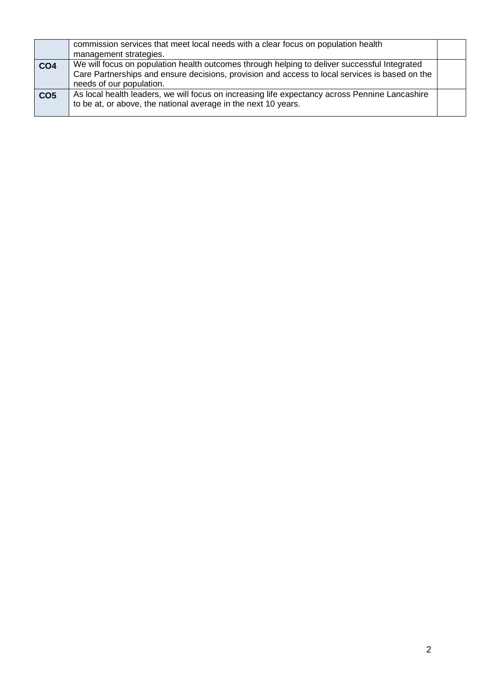|                 | commission services that meet local needs with a clear focus on population health<br>management strategies.                                                                                                                |  |
|-----------------|----------------------------------------------------------------------------------------------------------------------------------------------------------------------------------------------------------------------------|--|
| CO <sub>4</sub> | We will focus on population health outcomes through helping to deliver successful Integrated<br>Care Partnerships and ensure decisions, provision and access to local services is based on the<br>needs of our population. |  |
| CO <sub>5</sub> | As local health leaders, we will focus on increasing life expectancy across Pennine Lancashire<br>to be at, or above, the national average in the next 10 years.                                                           |  |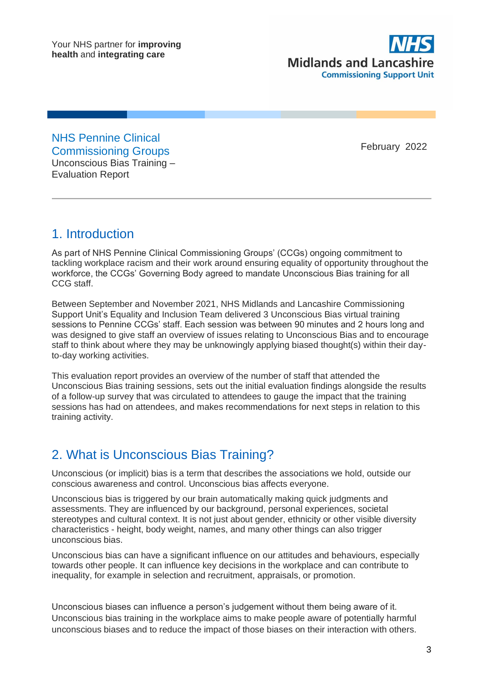

NHS Pennine Clinical Commissioning Groups Unconscious Bias Training – Evaluation Report

February 2022

## 1. Introduction

As part of NHS Pennine Clinical Commissioning Groups' (CCGs) ongoing commitment to tackling workplace racism and their work around ensuring equality of opportunity throughout the workforce, the CCGs' Governing Body agreed to mandate Unconscious Bias training for all CCG staff.

Between September and November 2021, NHS Midlands and Lancashire Commissioning Support Unit's Equality and Inclusion Team delivered 3 Unconscious Bias virtual training sessions to Pennine CCGs' staff. Each session was between 90 minutes and 2 hours long and was designed to give staff an overview of issues relating to Unconscious Bias and to encourage staff to think about where they may be unknowingly applying biased thought(s) within their dayto-day working activities.

This evaluation report provides an overview of the number of staff that attended the Unconscious Bias training sessions, sets out the initial evaluation findings alongside the results of a follow-up survey that was circulated to attendees to gauge the impact that the training sessions has had on attendees, and makes recommendations for next steps in relation to this training activity.

# 2. What is Unconscious Bias Training?

Unconscious (or implicit) bias is a term that describes the associations we hold, outside our conscious awareness and control. Unconscious bias affects everyone.

Unconscious bias is triggered by our brain automatically making quick judgments and assessments. They are influenced by our background, personal experiences, societal stereotypes and cultural context. It is not just about gender, ethnicity or other visible diversity characteristics - height, body weight, names, and many other things can also trigger unconscious bias.

Unconscious bias can have a significant influence on our attitudes and behaviours, especially towards other people. It can influence key decisions in the workplace and can contribute to inequality, for example in selection and recruitment, appraisals, or promotion.

Unconscious biases can influence a person's judgement without them being aware of it. Unconscious bias training in the workplace aims to make people aware of potentially harmful unconscious biases and to reduce the impact of those biases on their interaction with others.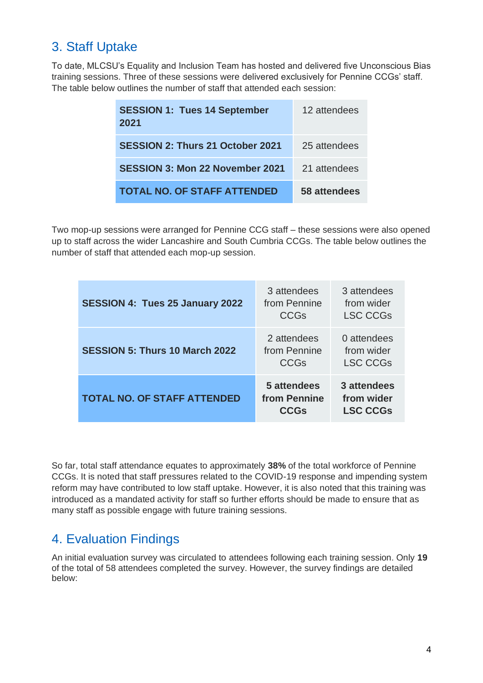# 3. Staff Uptake

To date, MLCSU's Equality and Inclusion Team has hosted and delivered five Unconscious Bias training sessions. Three of these sessions were delivered exclusively for Pennine CCGs' staff. The table below outlines the number of staff that attended each session:

| <b>SESSION 1: Tues 14 September</b><br>2021 | 12 attendees |
|---------------------------------------------|--------------|
| <b>SESSION 2: Thurs 21 October 2021</b>     | 25 attendees |
| <b>SESSION 3: Mon 22 November 2021</b>      | 21 attendees |
| <b>TOTAL NO. OF STAFF ATTENDED</b>          | 58 attendees |

Two mop-up sessions were arranged for Pennine CCG staff – these sessions were also opened up to staff across the wider Lancashire and South Cumbria CCGs. The table below outlines the number of staff that attended each mop-up session.

| SESSION 4: Tues 25 January 2022       | 3 attendees<br>from Pennine<br><b>CCGs</b> | 3 attendees<br>from wider<br><b>LSC CCGs</b> |
|---------------------------------------|--------------------------------------------|----------------------------------------------|
| <b>SESSION 5: Thurs 10 March 2022</b> | 2 attendees<br>from Pennine<br><b>CCGs</b> | 0 attendees<br>from wider<br><b>LSC CCGs</b> |
| <b>TOTAL NO. OF STAFF ATTENDED</b>    | 5 attendees<br>from Pennine<br><b>CCGs</b> | 3 attendees<br>from wider<br><b>LSC CCGs</b> |

So far, total staff attendance equates to approximately **38%** of the total workforce of Pennine CCGs. It is noted that staff pressures related to the COVID-19 response and impending system reform may have contributed to low staff uptake. However, it is also noted that this training was introduced as a mandated activity for staff so further efforts should be made to ensure that as many staff as possible engage with future training sessions.

# 4. Evaluation Findings

An initial evaluation survey was circulated to attendees following each training session. Only **19** of the total of 58 attendees completed the survey. However, the survey findings are detailed below: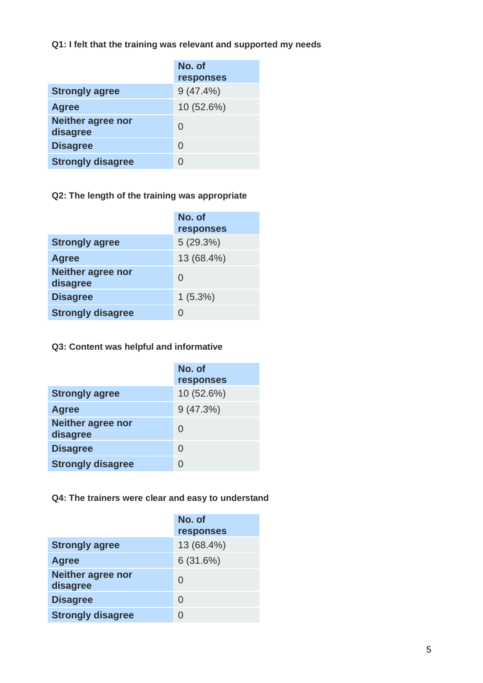**Q1: I felt that the training was relevant and supported my needs**

|                                      | No. of<br>responses |
|--------------------------------------|---------------------|
| <b>Strongly agree</b>                | $9(47.4\%)$         |
| <b>Agree</b>                         | 10 (52.6%)          |
| <b>Neither agree nor</b><br>disagree | 0                   |
| <b>Disagree</b>                      | 0                   |
| <b>Strongly disagree</b>             |                     |

## **Q2: The length of the training was appropriate**

|                                      | No. of<br>responses |
|--------------------------------------|---------------------|
| <b>Strongly agree</b>                | 5(29.3%)            |
| Agree                                | 13 (68.4%)          |
| <b>Neither agree nor</b><br>disagree | 0                   |
| <b>Disagree</b>                      | $1(5.3\%)$          |
| <b>Strongly disagree</b>             | $\mathcal{O}$       |

### **Q3: Content was helpful and informative**

|                                      | No. of<br>responses |
|--------------------------------------|---------------------|
| <b>Strongly agree</b>                | 10 (52.6%)          |
| <b>Agree</b>                         | 9(47.3%)            |
| <b>Neither agree nor</b><br>disagree | 0                   |
| <b>Disagree</b>                      | O                   |
| <b>Strongly disagree</b>             | O                   |

### **Q4: The trainers were clear and easy to understand**

|                                      | No. of<br>responses |
|--------------------------------------|---------------------|
| <b>Strongly agree</b>                | 13 (68.4%)          |
| <b>Agree</b>                         | 6(31.6%)            |
| <b>Neither agree nor</b><br>disagree | 0                   |
| <b>Disagree</b>                      | 0                   |
| <b>Strongly disagree</b>             |                     |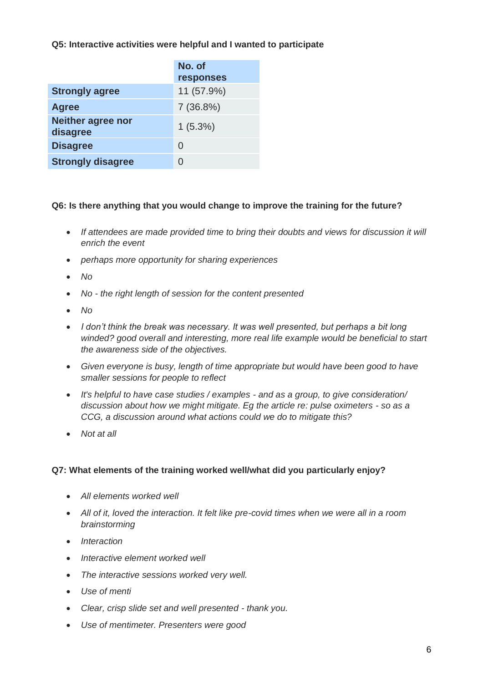**Q5: Interactive activities were helpful and I wanted to participate**

|                                      | No. of<br>responses |
|--------------------------------------|---------------------|
| <b>Strongly agree</b>                | 11 (57.9%)          |
| <b>Agree</b>                         | 7(36.8%)            |
| <b>Neither agree nor</b><br>disagree | $1(5.3\%)$          |
| <b>Disagree</b>                      | 0                   |
| <b>Strongly disagree</b>             |                     |

### **Q6: Is there anything that you would change to improve the training for the future?**

- *If attendees are made provided time to bring their doubts and views for discussion it will enrich the event*
- *perhaps more opportunity for sharing experiences*
- *No*
- *No - the right length of session for the content presented*
- *No*
- *I don't think the break was necessary. It was well presented, but perhaps a bit long winded? good overall and interesting, more real life example would be beneficial to start the awareness side of the objectives.*
- *Given everyone is busy, length of time appropriate but would have been good to have smaller sessions for people to reflect*
- *It's helpful to have case studies / examples - and as a group, to give consideration/ discussion about how we might mitigate. Eg the article re: pulse oximeters - so as a CCG, a discussion around what actions could we do to mitigate this?*
- *Not at all*

### **Q7: What elements of the training worked well/what did you particularly enjoy?**

- *All elements worked well*
- *All of it, loved the interaction. It felt like pre-covid times when we were all in a room brainstorming*
- *Interaction*
- *Interactive element worked well*
- *The interactive sessions worked very well.*
- *Use of menti*
- *Clear, crisp slide set and well presented - thank you.*
- *Use of mentimeter. Presenters were good*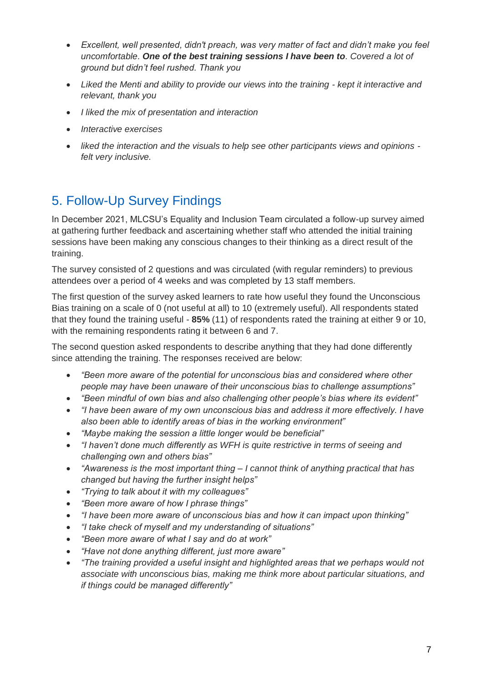- *Excellent, well presented, didn't preach, was very matter of fact and didn't make you feel uncomfortable. One of the best training sessions I have been to. Covered a lot of ground but didn't feel rushed. Thank you*
- *Liked the Menti and ability to provide our views into the training - kept it interactive and relevant, thank you*
- *I liked the mix of presentation and interaction*
- *Interactive exercises*
- *liked the interaction and the visuals to help see other participants views and opinions felt very inclusive.*

# 5. Follow-Up Survey Findings

In December 2021, MLCSU's Equality and Inclusion Team circulated a follow-up survey aimed at gathering further feedback and ascertaining whether staff who attended the initial training sessions have been making any conscious changes to their thinking as a direct result of the training.

The survey consisted of 2 questions and was circulated (with regular reminders) to previous attendees over a period of 4 weeks and was completed by 13 staff members.

The first question of the survey asked learners to rate how useful they found the Unconscious Bias training on a scale of 0 (not useful at all) to 10 (extremely useful). All respondents stated that they found the training useful - **85%** (11) of respondents rated the training at either 9 or 10, with the remaining respondents rating it between 6 and 7.

The second question asked respondents to describe anything that they had done differently since attending the training. The responses received are below:

- *"Been more aware of the potential for unconscious bias and considered where other people may have been unaware of their unconscious bias to challenge assumptions"*
- *"Been mindful of own bias and also challenging other people's bias where its evident"*
- *"I have been aware of my own unconscious bias and address it more effectively. I have also been able to identify areas of bias in the working environment"*
- *"Maybe making the session a little longer would be beneficial"*
- *"I haven't done much differently as WFH is quite restrictive in terms of seeing and challenging own and others bias"*
- *"Awareness is the most important thing – I cannot think of anything practical that has changed but having the further insight helps"*
- *"Trying to talk about it with my colleagues"*
- *"Been more aware of how I phrase things"*
- *"I have been more aware of unconscious bias and how it can impact upon thinking"*
- *"I take check of myself and my understanding of situations"*
- *"Been more aware of what I say and do at work"*
- *"Have not done anything different, just more aware"*
- *"The training provided a useful insight and highlighted areas that we perhaps would not associate with unconscious bias, making me think more about particular situations, and if things could be managed differently"*